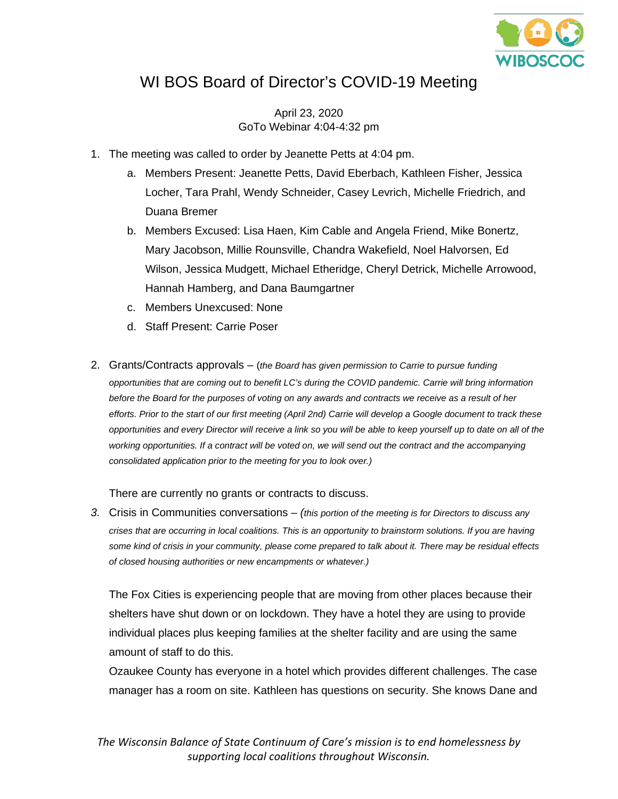

## WI BOS Board of Director's COVID-19 Meeting

April 23, 2020 GoTo Webinar 4:04-4:32 pm

- 1. The meeting was called to order by Jeanette Petts at 4:04 pm.
	- a. Members Present: Jeanette Petts, David Eberbach, Kathleen Fisher, Jessica Locher, Tara Prahl, Wendy Schneider, Casey Levrich, Michelle Friedrich, and Duana Bremer
	- b. Members Excused: Lisa Haen, Kim Cable and Angela Friend, Mike Bonertz, Mary Jacobson, Millie Rounsville, Chandra Wakefield, Noel Halvorsen, Ed Wilson, Jessica Mudgett, Michael Etheridge, Cheryl Detrick, Michelle Arrowood, Hannah Hamberg, and Dana Baumgartner
	- c. Members Unexcused: None
	- d. Staff Present: Carrie Poser
- 2. Grants/Contracts approvals (*the Board has given permission to Carrie to pursue funding opportunities that are coming out to benefit LC's during the COVID pandemic. Carrie will bring information before the Board for the purposes of voting on any awards and contracts we receive as a result of her efforts. Prior to the start of our first meeting (April 2nd) Carrie will develop a Google document to track these opportunities and every Director will receive a link so you will be able to keep yourself up to date on all of the working opportunities. If a contract will be voted on, we will send out the contract and the accompanying consolidated application prior to the meeting for you to look over.)*

There are currently no grants or contracts to discuss.

*3.* Crisis in Communities conversations – *(this portion of the meeting is for Directors to discuss any crises that are occurring in local coalitions. This is an opportunity to brainstorm solutions. If you are having some kind of crisis in your community, please come prepared to talk about it. There may be residual effects of closed housing authorities or new encampments or whatever.)*

The Fox Cities is experiencing people that are moving from other places because their shelters have shut down or on lockdown. They have a hotel they are using to provide individual places plus keeping families at the shelter facility and are using the same amount of staff to do this.

Ozaukee County has everyone in a hotel which provides different challenges. The case manager has a room on site. Kathleen has questions on security. She knows Dane and

*The Wisconsin Balance of State Continuum of Care's mission is to end homelessness by supporting local coalitions throughout Wisconsin.*